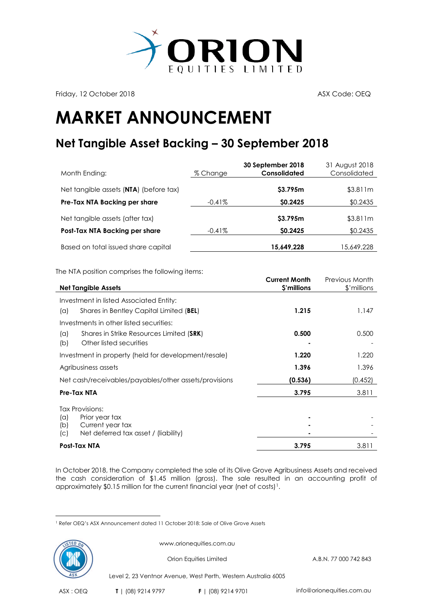

Friday, 12 October 2018 **ASX Code: OEQ** 

## **MARKET ANNOUNCEMENT**

## **Net Tangible Asset Backing – 30 September 2018**

| Month Ending:                          | % Change  | 30 September 2018<br><b>Consolidated</b> | 31 August 2018<br>Consolidated |
|----------------------------------------|-----------|------------------------------------------|--------------------------------|
| Net tangible assets (NTA) (before tax) |           | \$3.795m                                 | \$3.811m                       |
| Pre-Tax NTA Backing per share          | $-0.41\%$ | <b>SO.2425</b>                           | \$0.2435                       |
| Net tangible assets (after tax)        |           | \$3.795m                                 | \$3.811m                       |
| Post-Tax NTA Backing per share         | $-0.41\%$ | \$0.2425                                 | \$0.2435                       |
| Based on total issued share capital    |           | 15,649,228                               | 15,649,228                     |

The NTA position comprises the following items:

| <b>Net Tangible Assets</b>                            | <b>Current Month</b><br>\$'millions | Previous Month<br>\$'millions |
|-------------------------------------------------------|-------------------------------------|-------------------------------|
| Investment in listed Associated Entity:               |                                     |                               |
| Shares in Bentley Capital Limited (BEL)<br>(a)        | 1.215                               | 1.147                         |
| Investments in other listed securities:               |                                     |                               |
| Shares in Strike Resources Limited (SRK)<br>(a)       | 0.500                               | 0.500                         |
| Other listed securities<br>(b)                        |                                     |                               |
| Investment in property (held for development/resale)  | 1.220                               | 1.220                         |
| Agribusiness assets                                   | 1.396                               | 1.396                         |
| Net cash/receivables/payables/other assets/provisions | (0.536)                             | (0.452)                       |
| Pre-Tax NTA                                           | 3.795                               | 3.811                         |
| <b>Tax Provisions:</b>                                |                                     |                               |
| Prior year tax<br>(a)                                 |                                     |                               |
| Current year tax<br>(b)                               |                                     |                               |
| Net deferred tax asset / (liability)<br>(C)           |                                     |                               |
| Post-Tax NTA                                          | 3.795                               | 3.811                         |

In October 2018, the Company completed the sale of its Olive Grove Agribusiness Assets and received the cash consideration of \$1.45 million (gross). The sale resulted in an accounting profit of approximately  $$0.15$  million for the current financial year (net of costs)<sup>1</sup>.

 $\overline{a}$ <sup>1</sup> Refer OEQ's ASX Announcement dated [11 October 2018: Sale of Olive Grove Assets](https://www.asx.com.au/asxpdf/20181011/pdf/43z5gzjmkzbczk.pdf)



www.orionequities.com.au

Orion Equities Limited A.B.N. 77 000 742 843

Level 2, 23 Ventnor Avenue, West Perth, Western Australia 6005